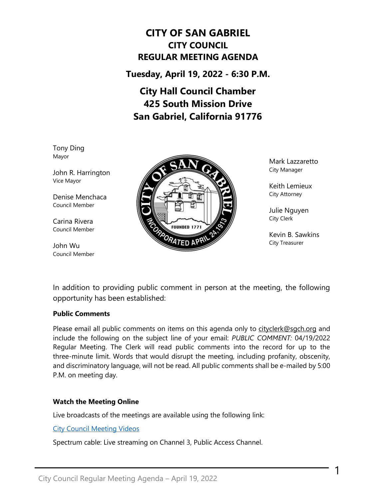# **CITY OF SAN GABRIEL CITY COUNCIL REGULAR MEETING AGENDA**

**Tuesday, April 19, 2022 - 6:30 P.M.**

# **City Hall Council Chamber 425 South Mission Drive San Gabriel, California 91776**

Tony Ding Mayor

John R. Harrington Vice Mayor

Denise Menchaca Council Member

Carina Rivera Council Member

John Wu Council Member



Mark Lazzaretto City Manager

Keith Lemieux City Attorney

Julie Nguyen City Clerk

Kevin B. Sawkins City Treasurer

1

In addition to providing public comment in person at the meeting, the following opportunity has been established:

# **Public Comments**

Please email all public comments on items on this agenda only to [cityclerk@sgch.org](mailto:cityclerk@sgch.org) and include the following on the subject line of your email: *PUBLIC COMMENT:* 04/19/2022 Regular Meeting. The Clerk will read public comments into the record for up to the three-minute limit. Words that would disrupt the meeting, including profanity, obscenity, and discriminatory language, will not be read. All public comments shall be e-mailed by 5:00 P.M. on meeting day.

# **Watch the Meeting Online**

Live broadcasts of the meetings are available using the following link:

[City Council Meeting Videos](https://www.youtube.com/CityofSanGabriel)

Spectrum cable: Live streaming on Channel 3, Public Access Channel.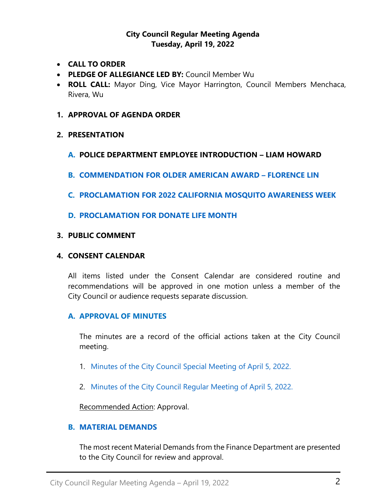# **City Council Regular Meeting Agenda Tuesday, April 19, 2022**

- **CALL TO ORDER**
- **PLEDGE OF ALLEGIANCE LED BY:** Council Member Wu
- **ROLL CALL:** Mayor Ding, Vice Mayor Harrington, Council Members Menchaca, Rivera, Wu
- **1. APPROVAL OF AGENDA ORDER**

### **2. PRESENTATION**

- **A. POLICE DEPARTMENT EMPLOYEE INTRODUCTION – LIAM HOWARD**
- **B. [COMMENDATION FOR OLDER AMERICAN AWARD](https://www.sangabrielcity.com/DocumentCenter/View/16356/22---Proclamation-Outstanding-Older-American) – FLORENCE LIN**
- **C. [PROCLAMATION FOR 2022 CALIFORNIA MOSQUITO AWARENESS WEEK](https://www.sangabrielcity.com/DocumentCenter/View/16354/22---Proclamation-for-California-Mosquito-Awareness-Week)**
- **D. [PROCLAMATION FOR DONATE LIFE MONTH](https://www.sangabrielcity.com/DocumentCenter/View/16355/22---Proclamation-for-Donate-Life-Month)**

### **3. PUBLIC COMMENT**

### **4. CONSENT CALENDAR**

All items listed under the Consent Calendar are considered routine and recommendations will be approved in one motion unless a member of the City Council or audience requests separate discussion.

### **A. APPROVAL OF MINUTES**

The minutes are a record of the official actions taken at the City Council meeting.

- 1. [Minutes of the City Council Special](https://www.sangabrielcity.com/DocumentCenter/View/16298/Item-4A---Minutes) Meeting of April 5, 2022.
- 2. [Minutes of the City Council Regular Meeting of April 5, 2022.](https://www.sangabrielcity.com/DocumentCenter/View/16365/Item-4A2---2022-04-05-Minutes---Regular)

Recommended Action: Approval.

### **B. [MATERIAL DEMANDS](https://www.sangabrielcity.com/DocumentCenter/View/16358/Item-4B---Material-Demands)**

The most recent Material Demands from the Finance Department are presented to the City Council for review and approval.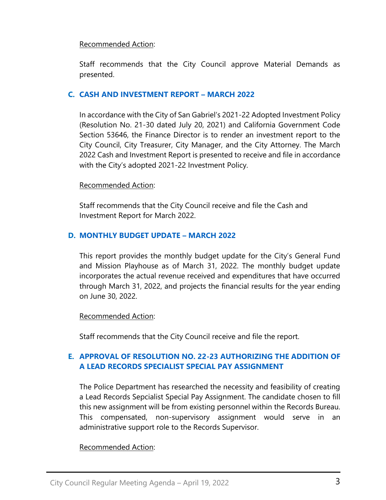# Recommended Action:

Staff recommends that the City Council approve Material Demands as presented.

# **C. [CASH AND INVESTMENT REPORT](https://www.sangabrielcity.com/DocumentCenter/View/16359/Item-4C---Cash-and-Investment-Report---March-2022) – MARCH 2022**

In accordance with the City of San Gabriel's 2021-22 Adopted Investment Policy (Resolution No. 21-30 dated July 20, 2021) and California Government Code Section 53646, the Finance Director is to render an investment report to the City Council, City Treasurer, City Manager, and the City Attorney. The March 2022 Cash and Investment Report is presented to receive and file in accordance with the City's adopted 2021-22 Investment Policy.

### Recommended Action:

Staff recommends that the City Council receive and file the Cash and Investment Report for March 2022.

# **D. [MONTHLY BUDGET UPDATE](https://www.sangabrielcity.com/DocumentCenter/View/16384/Item-4D---Monthly-Budget-Update---March-2022) – MARCH 2022**

This report provides the monthly budget update for the City's General Fund and Mission Playhouse as of March 31, 2022. The monthly budget update incorporates the actual revenue received and expenditures that have occurred through March 31, 2022, and projects the financial results for the year ending on June 30, 2022.

### Recommended Action:

Staff recommends that the City Council receive and file the report.

# **E. [APPROVAL OF RESOLUTION NO. 22-23 AUTHORIZING THE ADDITION OF](https://www.sangabrielcity.com/DocumentCenter/View/16371/Item-4E---Approval-of-Reso-No-22-23-Authroizing-the-Addition-of-a-Lead-Records-Specialist-Special-Pay-Assignment)  [A LEAD RECORDS SPECIALIST SPECIAL PAY ASSIGNMENT](https://www.sangabrielcity.com/DocumentCenter/View/16371/Item-4E---Approval-of-Reso-No-22-23-Authroizing-the-Addition-of-a-Lead-Records-Specialist-Special-Pay-Assignment)**

The Police Department has researched the necessity and feasibility of creating a Lead Records Sepcialist Special Pay Assignment. The candidate chosen to fill this new assignment will be from existing personnel within the Records Bureau. This compensated, non-supervisory assignment would serve in an administrative support role to the Records Supervisor.

# Recommended Action: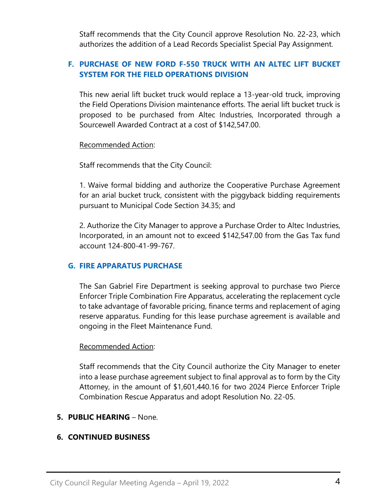Staff recommends that the City Council approve Resolution No. 22-23, which authorizes the addition of a Lead Records Specialist Special Pay Assignment.

# **F. [PURCHASE OF NEW FORD F-550 TRUCK WITH AN ALTEC LIFT BUCKET](https://www.sangabrielcity.com/DocumentCenter/View/16360/Item-4F---Purchase-of-New-Ford-F-550-Truck-with-an-Altec-Lift-Bucket-System-for-Field-Operations-Division)  [SYSTEM FOR THE FIELD OPERATIONS DIVISION](https://www.sangabrielcity.com/DocumentCenter/View/16360/Item-4F---Purchase-of-New-Ford-F-550-Truck-with-an-Altec-Lift-Bucket-System-for-Field-Operations-Division)**

This new aerial lift bucket truck would replace a 13-year-old truck, improving the Field Operations Division maintenance efforts. The aerial lift bucket truck is proposed to be purchased from Altec Industries, Incorporated through a Sourcewell Awarded Contract at a cost of \$142,547.00.

Recommended Action:

Staff recommends that the City Council:

1. Waive formal bidding and authorize the Cooperative Purchase Agreement for an arial bucket truck, consistent with the piggyback bidding requirements pursuant to Municipal Code Section 34.35; and

2. Authorize the City Manager to approve a Purchase Order to Altec Industries, Incorporated, in an amount not to exceed \$142,547.00 from the Gas Tax fund account 124-800-41-99-767.

# **G. [FIRE APPARATUS PURCHASE](https://www.sangabrielcity.com/DocumentCenter/View/16372/Item-4H---Fire-Apparatus-Purchase)**

The San Gabriel Fire Department is seeking approval to purchase two Pierce Enforcer Triple Combination Fire Apparatus, accelerating the replacement cycle to take advantage of favorable pricing, finance terms and replacement of aging reserve apparatus. Funding for this lease purchase agreement is available and ongoing in the Fleet Maintenance Fund.

# Recommended Action:

Staff recommends that the City Council authorize the City Manager to eneter into a lease purchase agreement subject to final approval as to form by the City Attorney, in the amount of \$1,601,440.16 for two 2024 Pierce Enforcer Triple Combination Rescue Apparatus and adopt Resolution No. 22-05.

# **5. PUBLIC HEARING** – None.

# **6. CONTINUED BUSINESS**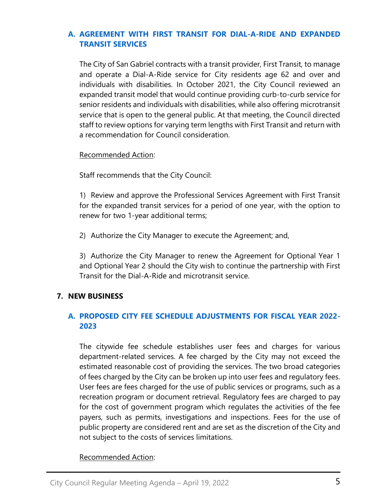# **A. [AGREEMENT WITH FIRST TRANSIT FOR DIAL-A-RIDE AND EXPANDED](https://www.sangabrielcity.com/DocumentCenter/View/16374/Item-6A---Agreement-with-First-Transit-for-Dial-A-Ride-and-Expanded-Transit-Services)  [TRANSIT SERVICES](https://www.sangabrielcity.com/DocumentCenter/View/16374/Item-6A---Agreement-with-First-Transit-for-Dial-A-Ride-and-Expanded-Transit-Services)**

The City of San Gabriel contracts with a transit provider, First Transit, to manage and operate a Dial-A-Ride service for City residents age 62 and over and individuals with disabilities. In October 2021, the City Council reviewed an expanded transit model that would continue providing curb-to-curb service for senior residents and individuals with disabilities, while also offering microtransit service that is open to the general public. At that meeting, the Council directed staff to review options for varying term lengths with First Transit and return with a recommendation for Council consideration.

Recommended Action:

Staff recommends that the City Council:

1) Review and approve the Professional Services Agreement with First Transit for the expanded transit services for a period of one year, with the option to renew for two 1-year additional terms;

2) Authorize the City Manager to execute the Agreement; and,

3) Authorize the City Manager to renew the Agreement for Optional Year 1 and Optional Year 2 should the City wish to continue the partnership with First Transit for the Dial-A-Ride and microtransit service.

# **7. NEW BUSINESS**

# **A. [PROPOSED CITY FEE SCHEDULE ADJUSTMENTS FOR FISCAL YEAR 2022-](https://www.sangabrielcity.com/DocumentCenter/View/16375/Item-7A---Proposed-City-Fee-Schedule-Adjustments-for-Fiscal-Year-2022-2023) [2023](https://www.sangabrielcity.com/DocumentCenter/View/16375/Item-7A---Proposed-City-Fee-Schedule-Adjustments-for-Fiscal-Year-2022-2023)**

The citywide fee schedule establishes user fees and charges for various department-related services. A fee charged by the City may not exceed the estimated reasonable cost of providing the services. The two broad categories of fees charged by the City can be broken up into user fees and regulatory fees. User fees are fees charged for the use of public services or programs, such as a recreation program or document retrieval. Regulatory fees are charged to pay for the cost of government program which regulates the activities of the fee payers, such as permits, investigations and inspections. Fees for the use of public property are considered rent and are set as the discretion of the City and not subject to the costs of services limitations.

# Recommended Action: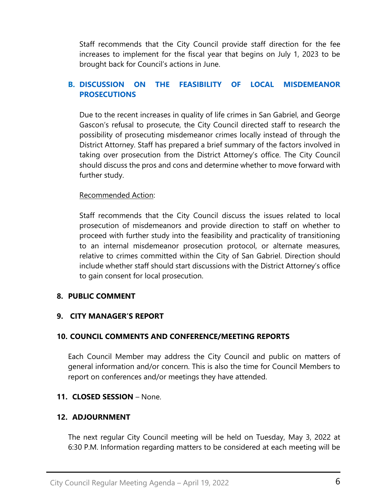Staff recommends that the City Council provide staff direction for the fee increases to implement for the fiscal year that begins on July 1, 2023 to be brought back for Council's actions in June.

# **B. [DISCUSSION ON THE FEASIBILITY OF LOCAL MISDEMEANOR](https://www.sangabrielcity.com/DocumentCenter/View/16386/Item-7B---Discussion-on-the-Feasibility-of-Local-Misdemeanor-Prosecutions)  [PROSECUTIONS](https://www.sangabrielcity.com/DocumentCenter/View/16386/Item-7B---Discussion-on-the-Feasibility-of-Local-Misdemeanor-Prosecutions)**

Due to the recent increases in quality of life crimes in San Gabriel, and George Gascon's refusal to prosecute, the City Council directed staff to research the possibility of prosecuting misdemeanor crimes locally instead of through the District Attorney. Staff has prepared a brief summary of the factors involved in taking over prosecution from the District Attorney's office. The City Council should discuss the pros and cons and determine whether to move forward with further study.

# Recommended Action:

Staff recommends that the City Council discuss the issues related to local prosecution of misdemeanors and provide direction to staff on whether to proceed with further study into the feasibility and practicality of transitioning to an internal misdemeanor prosecution protocol, or alternate measures, relative to crimes committed within the City of San Gabriel. Direction should include whether staff should start discussions with the District Attorney's office to gain consent for local prosecution.

# **8. PUBLIC COMMENT**

# **9. CITY MANAGER'S REPORT**

# **10. COUNCIL COMMENTS AND CONFERENCE/MEETING REPORTS**

Each Council Member may address the City Council and public on matters of general information and/or concern. This is also the time for Council Members to report on conferences and/or meetings they have attended.

### **11. CLOSED SESSION** – None.

### **12. ADJOURNMENT**

The next regular City Council meeting will be held on Tuesday, May 3, 2022 at 6:30 P.M. Information regarding matters to be considered at each meeting will be